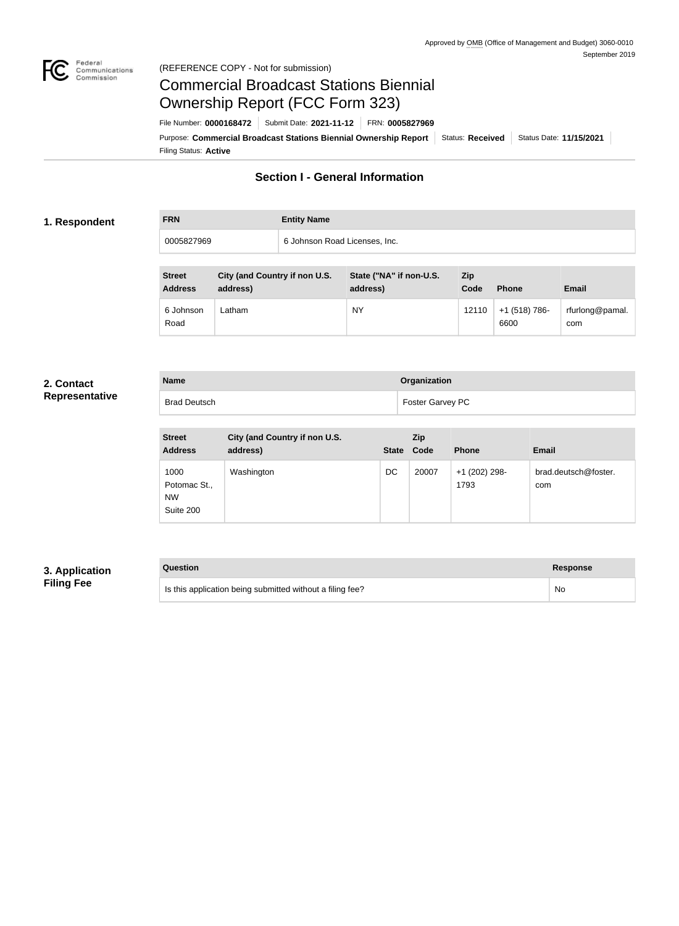

## Federal<br>Communications<br>Commission (REFERENCE COPY - Not for submission)

# Commercial Broadcast Stations Biennial Ownership Report (FCC Form 323)

Filing Status: **Active** Purpose: Commercial Broadcast Stations Biennial Ownership Report Status: Received Status Date: 11/15/2021 File Number: **0000168472** Submit Date: **2021-11-12** FRN: **0005827969**

# **Section I - General Information**

### **1. Respondent**

**FRN Entity Name** 0005827969 6 Johnson Road Licenses, Inc.

| <b>Street</b><br><b>Address</b> | City (and Country if non U.S.<br>address) | State ("NA" if non-U.S.<br>address) | Zip<br>Code | <b>Phone</b>          | <b>Email</b>           |
|---------------------------------|-------------------------------------------|-------------------------------------|-------------|-----------------------|------------------------|
| 6 Johnson<br>Road               | -atham                                    | <b>NY</b>                           | 12110       | +1 (518) 786-<br>6600 | rfurlong@pamal.<br>com |

### **2. Contact Representative**

| <b>Name</b>         | Organization            |
|---------------------|-------------------------|
| <b>Brad Deutsch</b> | <b>Foster Garvey PC</b> |

| <b>Street</b><br><b>Address</b>                | City (and Country if non U.S.<br>address) | <b>State</b> | <b>Zip</b><br>Code | <b>Phone</b>          | <b>Email</b>                |
|------------------------------------------------|-------------------------------------------|--------------|--------------------|-----------------------|-----------------------------|
| 1000<br>Potomac St.,<br><b>NW</b><br>Suite 200 | Washington                                | DC           | 20007              | +1 (202) 298-<br>1793 | brad.deutsch@foster.<br>com |

# **3. Application Filing Fee**

# **Question Response** Is this application being submitted without a filing fee? No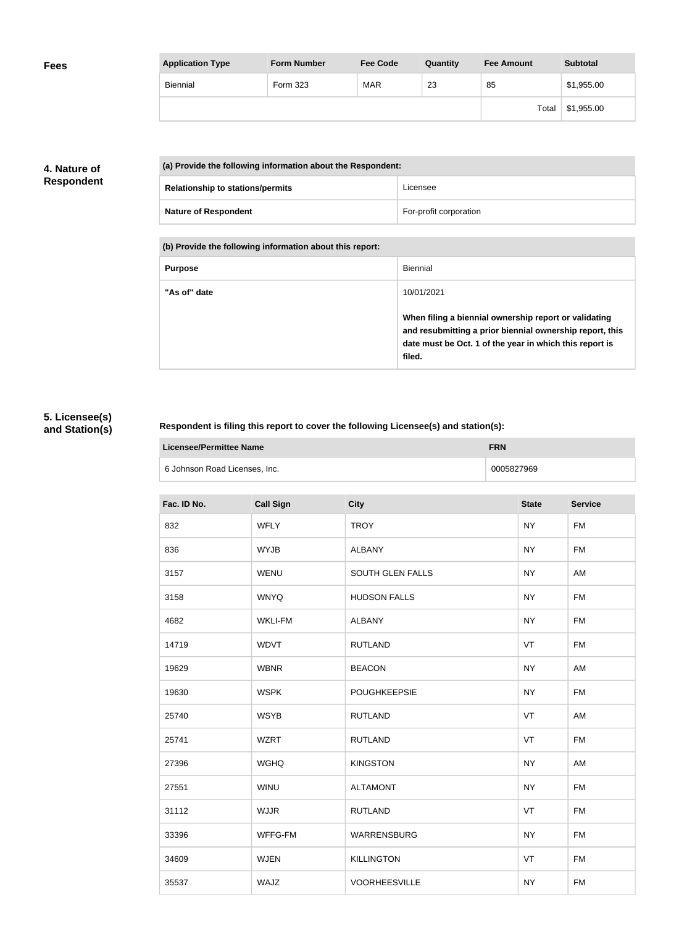| <b>Application Type</b> | <b>Form Number</b> | <b>Fee Code</b> | Quantity | <b>Fee Amount</b> | <b>Subtotal</b> |
|-------------------------|--------------------|-----------------|----------|-------------------|-----------------|
| <b>Biennial</b>         | <b>Form 323</b>    | <b>MAR</b>      | 23       | 85                | \$1,955.00      |
|                         |                    |                 |          | Total             | \$1,955.00      |

# **4. Nature of Respondent**

| (a) Provide the following information about the Respondent: |                        |  |
|-------------------------------------------------------------|------------------------|--|
| <b>Relationship to stations/permits</b>                     | Licensee               |  |
| <b>Nature of Respondent</b>                                 | For-profit corporation |  |

**(b) Provide the following information about this report:**

| <b>Purpose</b> | Biennial                                                                                                                                                                               |
|----------------|----------------------------------------------------------------------------------------------------------------------------------------------------------------------------------------|
| "As of" date   | 10/01/2021                                                                                                                                                                             |
|                | When filing a biennial ownership report or validating<br>and resubmitting a prior biennial ownership report, this<br>date must be Oct. 1 of the year in which this report is<br>filed. |

# **5. Licensee(s) and Station(s)**

# **Respondent is filing this report to cover the following Licensee(s) and station(s):**

| Licensee/Permittee Name       | FRN        |
|-------------------------------|------------|
| 6 Johnson Road Licenses, Inc. | 0005827969 |

| Fac. ID No. | <b>Call Sign</b> | <b>City</b>             | <b>State</b> | <b>Service</b> |
|-------------|------------------|-------------------------|--------------|----------------|
| 832         | <b>WFLY</b>      | <b>TROY</b>             | <b>NY</b>    | <b>FM</b>      |
| 836         | <b>WYJB</b>      | <b>ALBANY</b>           | <b>NY</b>    | <b>FM</b>      |
| 3157        | <b>WENU</b>      | <b>SOUTH GLEN FALLS</b> | <b>NY</b>    | AM             |
| 3158        | <b>WNYQ</b>      | <b>HUDSON FALLS</b>     | <b>NY</b>    | <b>FM</b>      |
| 4682        | <b>WKLI-FM</b>   | <b>ALBANY</b>           | <b>NY</b>    | <b>FM</b>      |
| 14719       | <b>WDVT</b>      | <b>RUTLAND</b>          | VT           | <b>FM</b>      |
| 19629       | <b>WBNR</b>      | <b>BEACON</b>           | <b>NY</b>    | AM             |
| 19630       | <b>WSPK</b>      | <b>POUGHKEEPSIE</b>     | <b>NY</b>    | <b>FM</b>      |
| 25740       | <b>WSYB</b>      | <b>RUTLAND</b>          | VT           | AM             |
| 25741       | <b>WZRT</b>      | <b>RUTLAND</b>          | VT           | <b>FM</b>      |
| 27396       | <b>WGHQ</b>      | <b>KINGSTON</b>         | <b>NY</b>    | AM             |
| 27551       | <b>WINU</b>      | <b>ALTAMONT</b>         | <b>NY</b>    | <b>FM</b>      |
| 31112       | <b>WJJR</b>      | <b>RUTLAND</b>          | VT           | <b>FM</b>      |
| 33396       | WFFG-FM          | WARRENSBURG             | <b>NY</b>    | <b>FM</b>      |
| 34609       | <b>WJEN</b>      | <b>KILLINGTON</b>       | VT           | <b>FM</b>      |
| 35537       | WAJZ             | <b>VOORHEESVILLE</b>    | <b>NY</b>    | <b>FM</b>      |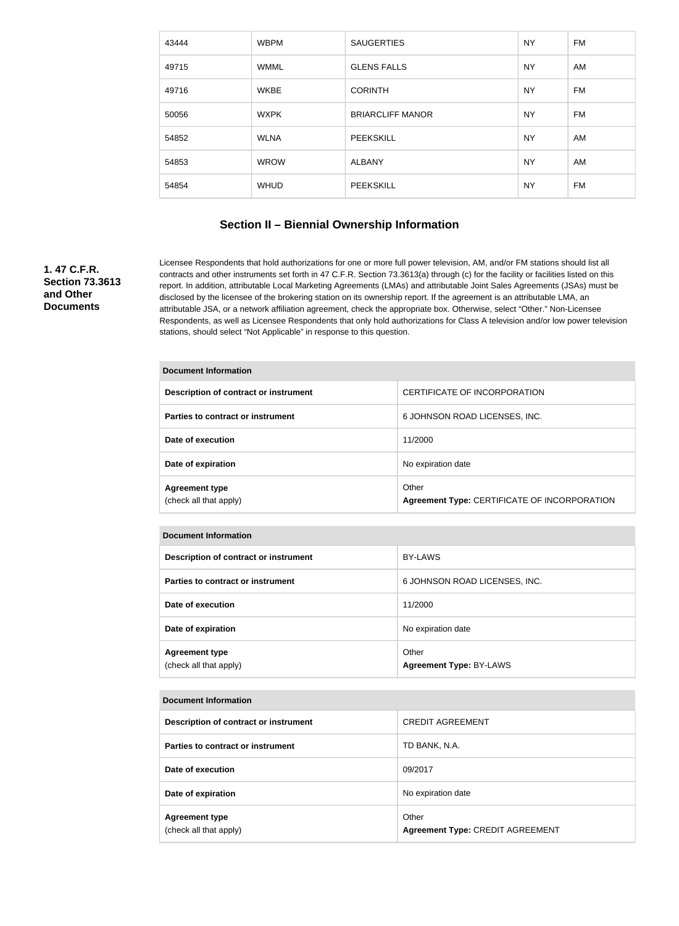| 43444 | <b>WBPM</b> | <b>SAUGERTIES</b>       | <b>NY</b> | FM |
|-------|-------------|-------------------------|-----------|----|
| 49715 | <b>WMML</b> | <b>GLENS FALLS</b>      | <b>NY</b> | AM |
| 49716 | <b>WKBE</b> | <b>CORINTH</b>          | <b>NY</b> | FM |
| 50056 | <b>WXPK</b> | <b>BRIARCLIFF MANOR</b> | <b>NY</b> | FM |
| 54852 | <b>WLNA</b> | <b>PEEKSKILL</b>        | <b>NY</b> | AM |
| 54853 | <b>WROW</b> | <b>ALBANY</b>           | <b>NY</b> | AM |
| 54854 | <b>WHUD</b> | <b>PEEKSKILL</b>        | <b>NY</b> | FM |

## **Section II – Biennial Ownership Information**

# **1. 47 C.F.R. Section 73.3613 and Other Documents**

Licensee Respondents that hold authorizations for one or more full power television, AM, and/or FM stations should list all contracts and other instruments set forth in 47 C.F.R. Section 73.3613(a) through (c) for the facility or facilities listed on this report. In addition, attributable Local Marketing Agreements (LMAs) and attributable Joint Sales Agreements (JSAs) must be disclosed by the licensee of the brokering station on its ownership report. If the agreement is an attributable LMA, an attributable JSA, or a network affiliation agreement, check the appropriate box. Otherwise, select "Other." Non-Licensee Respondents, as well as Licensee Respondents that only hold authorizations for Class A television and/or low power television stations, should select "Not Applicable" in response to this question.

| Document Information                            |                                                       |  |  |
|-------------------------------------------------|-------------------------------------------------------|--|--|
| Description of contract or instrument           | CERTIFICATE OF INCORPORATION                          |  |  |
| Parties to contract or instrument               | 6 JOHNSON ROAD LICENSES, INC.                         |  |  |
| Date of execution                               | 11/2000                                               |  |  |
| Date of expiration                              | No expiration date                                    |  |  |
| <b>Agreement type</b><br>(check all that apply) | Other<br>Agreement Type: CERTIFICATE OF INCORPORATION |  |  |

#### **Document Information**

| Description of contract or instrument           | <b>BY-LAWS</b>                          |
|-------------------------------------------------|-----------------------------------------|
| Parties to contract or instrument               | 6 JOHNSON ROAD LICENSES, INC.           |
| Date of execution                               | 11/2000                                 |
| Date of expiration                              | No expiration date                      |
| <b>Agreement type</b><br>(check all that apply) | Other<br><b>Agreement Type: BY-LAWS</b> |

#### **Document Information**

| Description of contract or instrument           | <b>CREDIT AGREEMENT</b>                          |
|-------------------------------------------------|--------------------------------------------------|
| Parties to contract or instrument               | TD BANK, N.A.                                    |
| Date of execution                               | 09/2017                                          |
| Date of expiration                              | No expiration date                               |
| <b>Agreement type</b><br>(check all that apply) | Other<br><b>Agreement Type: CREDIT AGREEMENT</b> |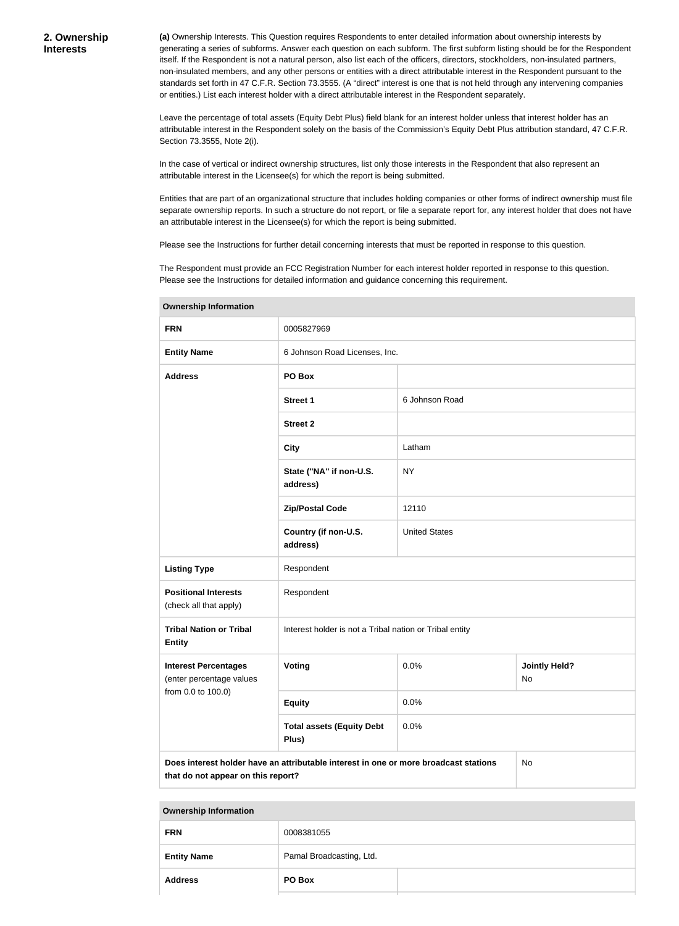**(a)** Ownership Interests. This Question requires Respondents to enter detailed information about ownership interests by generating a series of subforms. Answer each question on each subform. The first subform listing should be for the Respondent itself. If the Respondent is not a natural person, also list each of the officers, directors, stockholders, non-insulated partners, non-insulated members, and any other persons or entities with a direct attributable interest in the Respondent pursuant to the standards set forth in 47 C.F.R. Section 73.3555. (A "direct" interest is one that is not held through any intervening companies or entities.) List each interest holder with a direct attributable interest in the Respondent separately.

Leave the percentage of total assets (Equity Debt Plus) field blank for an interest holder unless that interest holder has an attributable interest in the Respondent solely on the basis of the Commission's Equity Debt Plus attribution standard, 47 C.F.R. Section 73.3555, Note 2(i).

In the case of vertical or indirect ownership structures, list only those interests in the Respondent that also represent an attributable interest in the Licensee(s) for which the report is being submitted.

Entities that are part of an organizational structure that includes holding companies or other forms of indirect ownership must file separate ownership reports. In such a structure do not report, or file a separate report for, any interest holder that does not have an attributable interest in the Licensee(s) for which the report is being submitted.

Please see the Instructions for further detail concerning interests that must be reported in response to this question.

The Respondent must provide an FCC Registration Number for each interest holder reported in response to this question. Please see the Instructions for detailed information and guidance concerning this requirement.

| <b>FRN</b>                                                                                                                       | 0005827969                                              |                      |                            |
|----------------------------------------------------------------------------------------------------------------------------------|---------------------------------------------------------|----------------------|----------------------------|
| <b>Entity Name</b>                                                                                                               | 6 Johnson Road Licenses, Inc.                           |                      |                            |
| <b>Address</b>                                                                                                                   | PO Box                                                  |                      |                            |
|                                                                                                                                  | <b>Street 1</b>                                         | 6 Johnson Road       |                            |
|                                                                                                                                  | <b>Street 2</b>                                         |                      |                            |
|                                                                                                                                  | <b>City</b>                                             | Latham               |                            |
|                                                                                                                                  | State ("NA" if non-U.S.<br>address)                     | <b>NY</b>            |                            |
|                                                                                                                                  | <b>Zip/Postal Code</b>                                  | 12110                |                            |
|                                                                                                                                  | Country (if non-U.S.<br>address)                        | <b>United States</b> |                            |
| <b>Listing Type</b>                                                                                                              | Respondent                                              |                      |                            |
| <b>Positional Interests</b><br>(check all that apply)                                                                            | Respondent                                              |                      |                            |
| <b>Tribal Nation or Tribal</b><br><b>Entity</b>                                                                                  | Interest holder is not a Tribal nation or Tribal entity |                      |                            |
| <b>Interest Percentages</b><br>(enter percentage values                                                                          | Voting                                                  | 0.0%                 | <b>Jointly Held?</b><br>No |
| from 0.0 to 100.0)                                                                                                               | <b>Equity</b>                                           | 0.0%                 |                            |
|                                                                                                                                  | <b>Total assets (Equity Debt</b><br>Plus)               | 0.0%                 |                            |
| Does interest holder have an attributable interest in one or more broadcast stations<br>No<br>that do not appear on this report? |                                                         |                      |                            |

**Ownership Information**

| <b>FRN</b>         | 0008381055               |  |
|--------------------|--------------------------|--|
| <b>Entity Name</b> | Pamal Broadcasting, Ltd. |  |
| <b>Address</b>     | PO Box                   |  |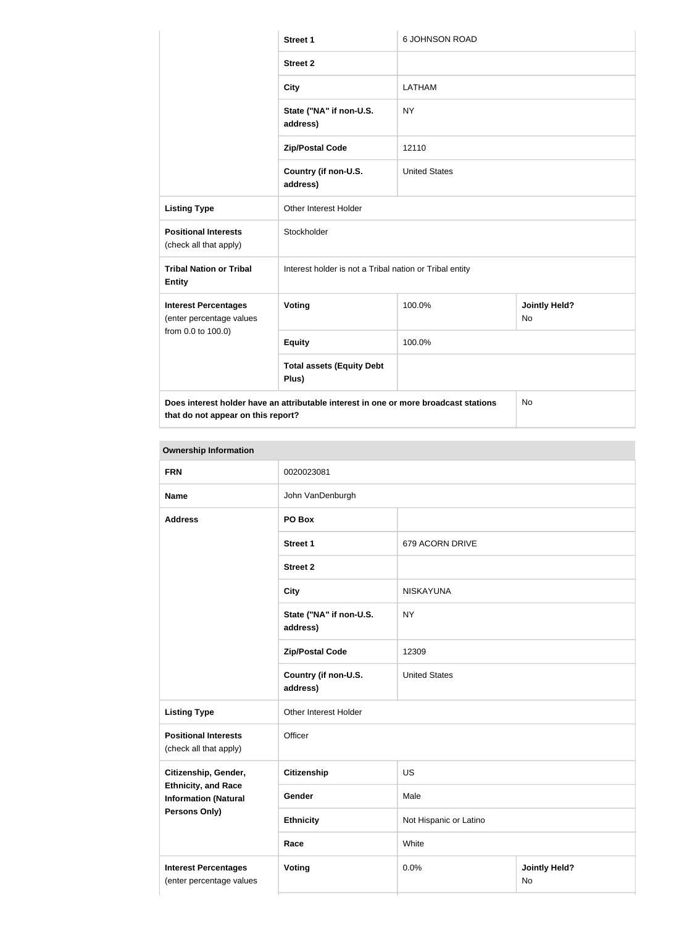|                                                                                                                                  | <b>Street 1</b>                                         | 6 JOHNSON ROAD       |                                   |
|----------------------------------------------------------------------------------------------------------------------------------|---------------------------------------------------------|----------------------|-----------------------------------|
|                                                                                                                                  | <b>Street 2</b>                                         |                      |                                   |
|                                                                                                                                  | <b>City</b>                                             | LATHAM               |                                   |
|                                                                                                                                  | State ("NA" if non-U.S.<br>address)                     | <b>NY</b>            |                                   |
|                                                                                                                                  | <b>Zip/Postal Code</b>                                  | 12110                |                                   |
|                                                                                                                                  | Country (if non-U.S.<br>address)                        | <b>United States</b> |                                   |
| <b>Listing Type</b>                                                                                                              | Other Interest Holder                                   |                      |                                   |
| <b>Positional Interests</b><br>(check all that apply)                                                                            | Stockholder                                             |                      |                                   |
| <b>Tribal Nation or Tribal</b><br><b>Entity</b>                                                                                  | Interest holder is not a Tribal nation or Tribal entity |                      |                                   |
| <b>Interest Percentages</b><br>(enter percentage values                                                                          | Voting                                                  | 100.0%               | <b>Jointly Held?</b><br><b>No</b> |
| from 0.0 to 100.0)                                                                                                               | <b>Equity</b>                                           | 100.0%               |                                   |
|                                                                                                                                  | <b>Total assets (Equity Debt</b><br>Plus)               |                      |                                   |
| Does interest holder have an attributable interest in one or more broadcast stations<br>No<br>that do not appear on this report? |                                                         |                      |                                   |

| <b>Ownership Information</b>                              |                                                  |                        |                            |  |
|-----------------------------------------------------------|--------------------------------------------------|------------------------|----------------------------|--|
| <b>FRN</b>                                                | 0020023081                                       |                        |                            |  |
| <b>Name</b>                                               | John VanDenburgh                                 |                        |                            |  |
| <b>Address</b>                                            | PO Box                                           |                        |                            |  |
|                                                           | <b>Street 1</b>                                  | 679 ACORN DRIVE        |                            |  |
|                                                           | <b>Street 2</b>                                  |                        |                            |  |
|                                                           | <b>City</b>                                      | <b>NISKAYUNA</b>       |                            |  |
|                                                           | <b>NY</b><br>State ("NA" if non-U.S.<br>address) |                        |                            |  |
|                                                           | <b>Zip/Postal Code</b>                           | 12309                  |                            |  |
|                                                           | Country (if non-U.S.<br>address)                 | <b>United States</b>   |                            |  |
| <b>Listing Type</b>                                       | Other Interest Holder                            |                        |                            |  |
| <b>Positional Interests</b><br>(check all that apply)     | Officer                                          |                        |                            |  |
| Citizenship, Gender,                                      | Citizenship<br><b>US</b>                         |                        |                            |  |
| <b>Ethnicity, and Race</b><br><b>Information (Natural</b> | Gender                                           | Male                   |                            |  |
| Persons Only)                                             | <b>Ethnicity</b>                                 | Not Hispanic or Latino |                            |  |
|                                                           | White<br>Race                                    |                        |                            |  |
| <b>Interest Percentages</b><br>(enter percentage values   | <b>Voting</b>                                    | 0.0%                   | <b>Jointly Held?</b><br>No |  |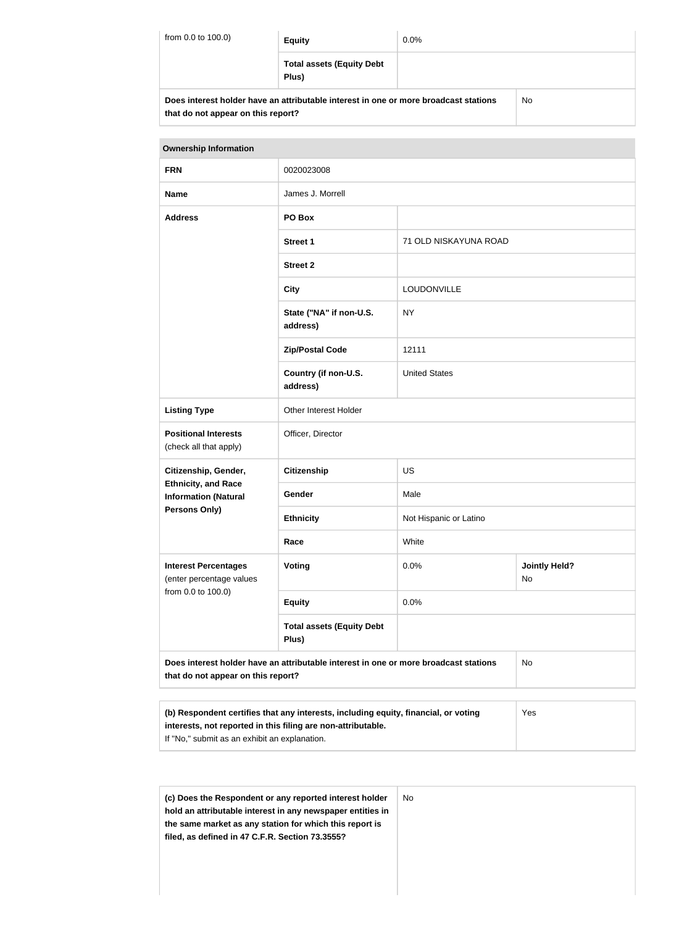| from 0.0 to 100.0)<br><b>Equity</b>                                                               |                                           | $0.0\%$ |  |
|---------------------------------------------------------------------------------------------------|-------------------------------------------|---------|--|
|                                                                                                   | <b>Total assets (Equity Debt</b><br>Plus) |         |  |
| <b>No</b><br>Does interest holder have an attributable interest in one or more broadcast stations |                                           |         |  |

**that do not appear on this report?**

| <b>Ownership Information</b>                              |                                                                                      |                        |                            |
|-----------------------------------------------------------|--------------------------------------------------------------------------------------|------------------------|----------------------------|
| <b>FRN</b>                                                | 0020023008                                                                           |                        |                            |
| <b>Name</b>                                               | James J. Morrell                                                                     |                        |                            |
| <b>Address</b>                                            | PO Box                                                                               |                        |                            |
|                                                           | <b>Street 1</b>                                                                      | 71 OLD NISKAYUNA ROAD  |                            |
|                                                           | <b>Street 2</b>                                                                      |                        |                            |
|                                                           | <b>City</b>                                                                          | LOUDONVILLE            |                            |
|                                                           | State ("NA" if non-U.S.<br>address)                                                  | <b>NY</b>              |                            |
|                                                           | <b>Zip/Postal Code</b>                                                               | 12111                  |                            |
|                                                           | Country (if non-U.S.<br>address)                                                     | <b>United States</b>   |                            |
| <b>Listing Type</b>                                       | Other Interest Holder                                                                |                        |                            |
| <b>Positional Interests</b><br>(check all that apply)     | Officer, Director                                                                    |                        |                            |
| Citizenship, Gender,                                      | <b>Citizenship</b>                                                                   | <b>US</b>              |                            |
| <b>Ethnicity, and Race</b><br><b>Information (Natural</b> | Gender                                                                               | Male                   |                            |
| <b>Persons Only)</b>                                      | <b>Ethnicity</b>                                                                     | Not Hispanic or Latino |                            |
|                                                           | Race                                                                                 | White                  |                            |
| <b>Interest Percentages</b><br>(enter percentage values   | <b>Voting</b>                                                                        | 0.0%                   | <b>Jointly Held?</b><br>No |
| from 0.0 to 100.0)                                        | <b>Equity</b>                                                                        | 0.0%                   |                            |
|                                                           | <b>Total assets (Equity Debt</b><br>Plus)                                            |                        |                            |
| that do not appear on this report?                        | Does interest holder have an attributable interest in one or more broadcast stations |                        | No                         |
|                                                           |                                                                                      |                        |                            |

| (b) Respondent certifies that any interests, including equity, financial, or voting | Yes |
|-------------------------------------------------------------------------------------|-----|
| interests, not reported in this filing are non-attributable.                        |     |
| If "No," submit as an exhibit an explanation.                                       |     |
|                                                                                     |     |

| (c) Does the Respondent or any reported interest holder<br>hold an attributable interest in any newspaper entities in | No. |
|-----------------------------------------------------------------------------------------------------------------------|-----|
| the same market as any station for which this report is                                                               |     |
| filed, as defined in 47 C.F.R. Section 73.3555?                                                                       |     |
|                                                                                                                       |     |
|                                                                                                                       |     |
|                                                                                                                       |     |
|                                                                                                                       |     |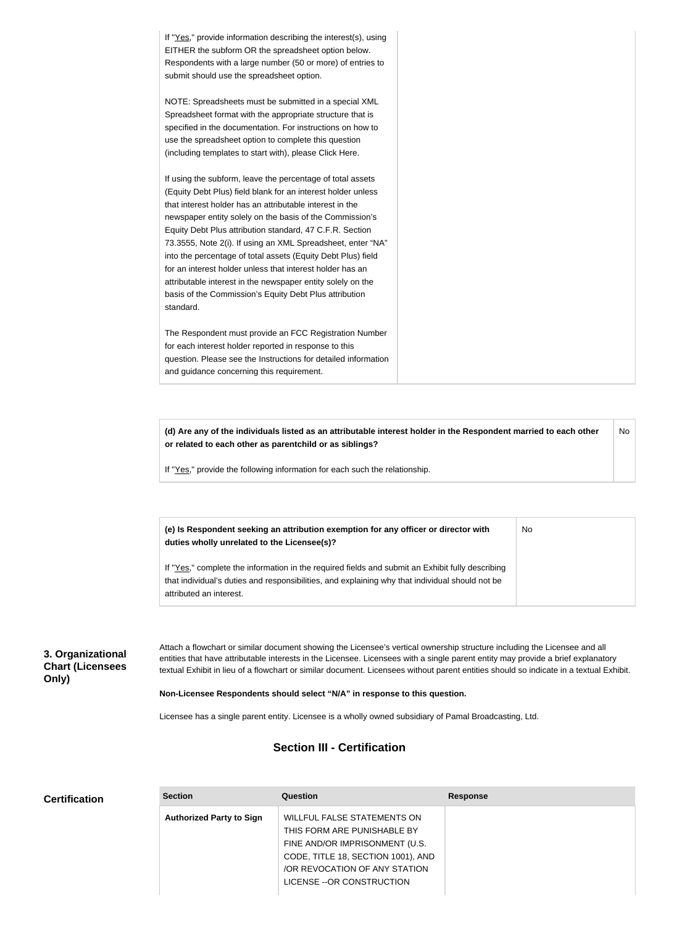If "Yes," provide information describing the interest(s), using EITHER the subform OR the spreadsheet option below. Respondents with a large number (50 or more) of entries to submit should use the spreadsheet option. NOTE: Spreadsheets must be submitted in a special XML Spreadsheet format with the appropriate structure that is specified in the documentation. For instructions on how to use the spreadsheet option to complete this question (including templates to start with), please Click Here. If using the subform, leave the percentage of total assets (Equity Debt Plus) field blank for an interest holder unless that interest holder has an attributable interest in the newspaper entity solely on the basis of the Commission's Equity Debt Plus attribution standard, 47 C.F.R. Section 73.3555, Note 2(i). If using an XML Spreadsheet, enter "NA" into the percentage of total assets (Equity Debt Plus) field for an interest holder unless that interest holder has an attributable interest in the newspaper entity solely on the basis of the Commission's Equity Debt Plus attribution standard. The Respondent must provide an FCC Registration Number for each interest holder reported in response to this question. Please see the Instructions for detailed information and guidance concerning this requirement.

**(d) Are any of the individuals listed as an attributable interest holder in the Respondent married to each other or related to each other as parentchild or as siblings?** No

No

If "Yes," provide the following information for each such the relationship.

**(e) Is Respondent seeking an attribution exemption for any officer or director with duties wholly unrelated to the Licensee(s)?**

If "Yes," complete the information in the required fields and submit an Exhibit fully describing that individual's duties and responsibilities, and explaining why that individual should not be attributed an interest.

# **3. Organizational Chart (Licensees Only)**

Attach a flowchart or similar document showing the Licensee's vertical ownership structure including the Licensee and all entities that have attributable interests in the Licensee. Licensees with a single parent entity may provide a brief explanatory textual Exhibit in lieu of a flowchart or similar document. Licensees without parent entities should so indicate in a textual Exhibit.

**Non-Licensee Respondents should select "N/A" in response to this question.**

Licensee has a single parent entity. Licensee is a wholly owned subsidiary of Pamal Broadcasting, Ltd.

# **Section III - Certification**

| <b>Certification</b> | <b>Section</b>                  | Question                                                                                          | <b>Response</b> |
|----------------------|---------------------------------|---------------------------------------------------------------------------------------------------|-----------------|
|                      | <b>Authorized Party to Sign</b> | WILLFUL FALSE STATEMENTS ON<br>THIS FORM ARE PUNISHABLE BY<br>FINE AND/OR IMPRISONMENT (U.S.      |                 |
|                      |                                 | CODE, TITLE 18, SECTION 1001), AND<br>/OR REVOCATION OF ANY STATION<br>LICENSE -- OR CONSTRUCTION |                 |